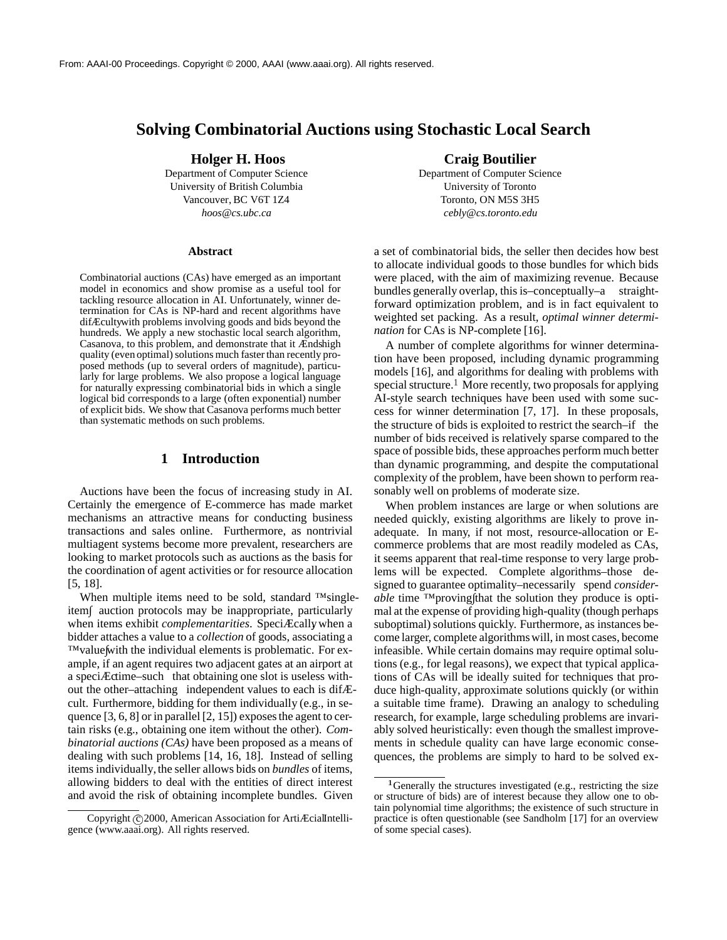# **Solving Combinatorial Auctions using Stochastic Local Search**

**Holger H. Hoos**

Department of Computer Science University of British Columbia Vancouver, BC V6T 1Z4 *hoos@cs.ubc.ca*

#### **Abstract**

Combinatorial auctions (CAs) have emerged as an important model in economics and show promise as a useful tool for tackling resource allocation in AI. Unfortunately, winner determination for CAs is NP-hard and recent algorithms have difÆcultywith problems involving goods and bids beyond the hundreds. We apply a new stochastic local search algorithm, Casanova, to this problem, and demonstrate that it Ændshigh quality (even optimal) solutions much faster than recently proposed methods (up to several orders of magnitude), particularly for large problems. We also propose a logical language for naturally expressing combinatorial bids in which a single logical bid corresponds to a large (often exponential) number of explicit bids. We show that Casanova performs much better than systematic methods on such problems.

# **1 Introduction**

Auctions have been the focus of increasing study in AI. Certainly the emergence of E-commerce has made market mechanisms an attractive means for conducting business transactions and sales online. Furthermore, as nontrivial multiagent systems become more prevalent, researchers are looking to market protocols such as auctions as the basis for the coordination of agent activities or for resource allocation [5, 18].

When multiple items need to be sold, standard ™singleitem∫ auction protocols may be inappropriate, particularly when items exhibit *complementarities*. SpeciÆcally, when a bidder attaches a value to a *collection* of goods, associating a ™value with the individual elements is problematic. For example, if an agent requires two adjacent gates at an airport at a speciÆctime–such that obtaining one slot is useless without the other–attaching independent values to each is difÆcult. Furthermore, bidding for them individually (e.g., in sequence [3, 6, 8] or in parallel [2, 15]) exposesthe agent to certain risks (e.g., obtaining one item without the other). *Combinatorial auctions (CAs)* have been proposed as a means of dealing with such problems [14, 16, 18]. Instead of selling items individually,the seller allows bids on *bundles* of items, allowing bidders to deal with the entities of direct interest and avoid the risk of obtaining incomplete bundles. Given

**Craig Boutilier**

Department of Computer Science University of Toronto Toronto, ON M5S 3H5 *cebly@cs.toronto.edu*

a set of combinatorial bids, the seller then decides how best to allocate individual goods to those bundles for which bids were placed, with the aim of maximizing revenue. Because bundles generally overlap, this is–conceptually–a straightforward optimization problem, and is in fact equivalent to weighted set packing. As a result, *optimal winner determination* for CAs is NP-complete [16].

A number of complete algorithms for winner determination have been proposed, including dynamic programming models [16], and algorithms for dealing with problems with special structure.<sup>1</sup> More recently, two proposals for applying AI-style search techniques have been used with some success for winner determination [7, 17]. In these proposals, the structure of bids is exploited to restrict the search–if the number of bids received is relatively sparse compared to the space of possible bids, these approaches perform much better than dynamic programming, and despite the computational complexity of the problem, have been shown to perform reasonably well on problems of moderate size.

When problem instances are large or when solutions are needed quickly, existing algorithms are likely to prove inadequate. In many, if not most, resource-allocation or Ecommerce problems that are most readily modeled as CAs, it seems apparent that real-time response to very large problems will be expected. Complete algorithms–those designed to guarantee optimality–necessarily spend *considerable* time <sup>™</sup>proving that the solution they produce is optimal at the expense of providing high-quality (though perhaps suboptimal) solutions quickly. Furthermore, as instances become larger, complete algorithmswill, in most cases, become infeasible. While certain domains may require optimal solutions (e.g., for legal reasons), we expect that typical applications of CAs will be ideally suited for techniques that produce high-quality, approximate solutions quickly (or within a suitable time frame). Drawing an analogy to scheduling research, for example, large scheduling problems are invariably solved heuristically: even though the smallest improvements in schedule quality can have large economic consequences, the problems are simply to hard to be solved ex-

Copyright @2000, American Association for ArtiÆcialIntelligence (www.aaai.org). All rights reserved.

<sup>&</sup>lt;sup>1</sup> Generally the structures investigated (e.g., restricting the size or structure of bids) are of interest because they allow one to obtain polynomial time algorithms; the existence of such structure in practice is often questionable (see Sandholm [17] for an overview of some special cases).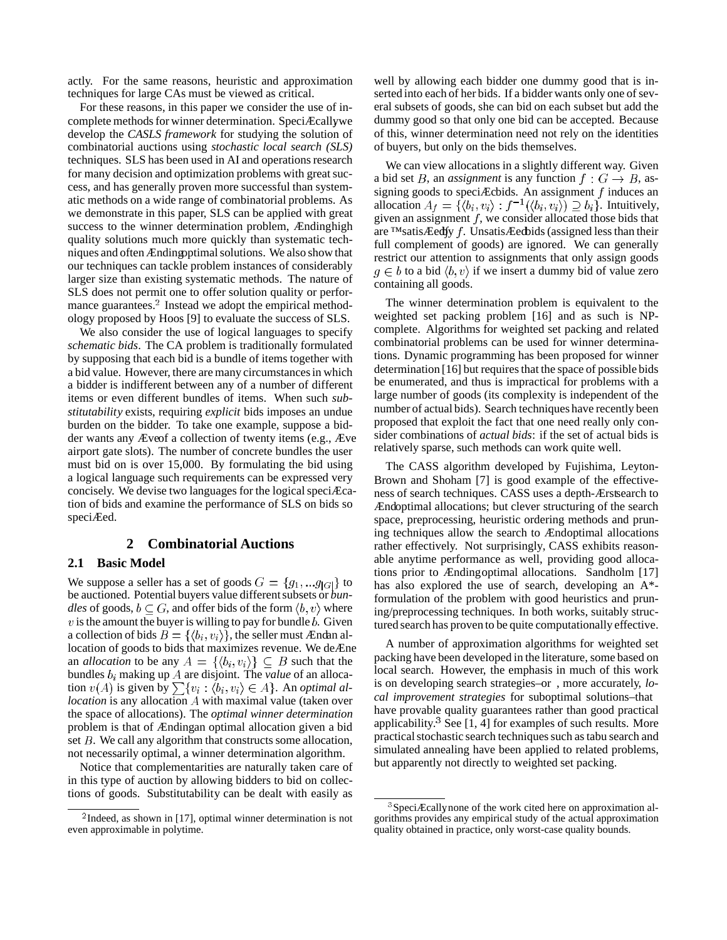actly. For the same reasons, heuristic and approximation techniques for large CAs must be viewed as critical.

For these reasons, in this paper we consider the use of incomplete methods for winner determination. SpeciÆcallywe develop the *CASLS framework* for studying the solution of combinatorial auctions using *stochastic local search (SLS)* techniques. SLS has been used in AI and operationsresearch for many decision and optimization problems with great success, and has generally proven more successful than systematic methods on a wide range of combinatorial problems. As we demonstrate in this paper, SLS can be applied with great success to the winner determination problem, Ændinghigh quality solutions much more quickly than systematic techniques and often Ændingoptimal solutions. We also show that our techniques can tackle problem instances of considerably larger size than existing systematic methods. The nature of SLS does not permit one to offer solution quality or performance guarantees.<sup>2</sup> Instead we adopt the empirical methodology proposed by Hoos [9] to evaluate the success of SLS.

We also consider the use of logical languages to specify *schematic bids*. The CA problem is traditionally formulated by supposing that each bid is a bundle of items together with a bid value. However, there are many circumstancesin which a bidder is indifferent between any of a number of different items or even different bundles of items. When such *substitutability* exists, requiring *explicit* bids imposes an undue burden on the bidder. To take one example, suppose a bidder wants any Æveof a collection of twenty items (e.g., Æve airport gate slots). The number of concrete bundles the user must bid on is over 15,000. By formulating the bid using a logical language such requirements can be expressed very concisely. We devise two languages for the logical speciÆcation of bids and examine the performance of SLS on bids so speciÆed.

# **2 Combinatorial Auctions**

## **2.1 Basic Model**

We suppose a seller has a set of goods  $G = \{g_1, \ldots g_{|G|}\}\$ to be auctioned. Potential buyers value different subsets or *bundles* of goods,  $b \subseteq G$ , and offer bids of the form  $\langle b, v \rangle$  where  $v$  is the amount the buyer is willing to pay for bundle  $b$ . Given a collection of bids  $B = \{ \langle b_i, v_i \rangle \}$ , the seller must Ændan allocation of goods to bids that maximizes revenue. We deÆne an *allocation* to be any  $A = \{ \langle b_i, v_i \rangle \} \subseteq B$  such that the bundles  $b_i$  making up A are disjoint. The *value* of an allocation  $v(A)$  is given by  $\sum \{v_i : \langle b_i, v_i \rangle \in A\}$ . An *optimal allocation* is any allocation A with maximal value (taken over the space of allocations). The *optimal winner determination* problem is that of Ændingan optimal allocation given a bid set  $B$ . We call any algorithm that constructs some allocation, not necessarily optimal, a winner determination algorithm.

Notice that complementarities are naturally taken care of in this type of auction by allowing bidders to bid on collections of goods. Substitutability can be dealt with easily as well by allowing each bidder one dummy good that is inserted into each of her bids. If a bidder wants only one of several subsets of goods, she can bid on each subset but add the dummy good so that only one bid can be accepted. Because of this, winner determination need not rely on the identities of buyers, but only on the bids themselves.

We can view allocations in a slightly different way. Given a bid set B, an *assignment* is any function  $f: G \to B$ , assigning goods to speciÆcbids. An assignment  $f$  induces an allocation  $A_f = \{ (b_i, v_i) : f^{-1}(\langle b_i, v_i \rangle) \supseteq b_i \}$ . Intuitively, given an assignment  $f$ , we consider allocated those bids that are ™satisÆedby f. UnsatisÆedbids (assigned less than their full complement of goods) are ignored. We can generally restrict our attention to assignments that only assign goods  $g \in b$  to a bid  $\langle b, v \rangle$  if we insert a dummy bid of value zero containing all goods.

The winner determination problem is equivalent to the weighted set packing problem [16] and as such is NPcomplete. Algorithms for weighted set packing and related combinatorial problems can be used for winner determinations. Dynamic programming has been proposed for winner determination [16] but requires that the space of possible bids be enumerated, and thus is impractical for problems with a large number of goods (its complexity is independent of the number of actual bids). Search techniques have recently been proposed that exploit the fact that one need really only consider combinations of *actual bids*: if the set of actual bids is relatively sparse, such methods can work quite well.

The CASS algorithm developed by Fujishima, Leyton-Brown and Shoham [7] is good example of the effectiveness of search techniques. CASS uses a depth-Ærstsearch to Ændoptimal allocations; but clever structuring of the search space, preprocessing, heuristic ordering methods and pruning techniques allow the search to Ændoptimal allocations rather effectively. Not surprisingly, CASS exhibits reasonable anytime performance as well, providing good allocations prior to Ændingoptimal allocations. Sandholm [17] has also explored the use of search, developing an A\* formulation of the problem with good heuristics and pruning/preprocessing techniques. In both works, suitably structured search has proven to be quite computationally effective.

A number of approximation algorithms for weighted set packing have been developed in the literature, some based on local search. However, the emphasis in much of this work is on developing search strategies–or , more accurately, *local improvement strategies* for suboptimal solutions–that have provable quality guarantees rather than good practical applicability.<sup>3</sup> See [1, 4] for examples of such results. More practical stochastic search techniques such as tabu search and simulated annealing have been applied to related problems, but apparently not directly to weighted set packing.

 $2$ Indeed, as shown in [17], optimal winner determination is not even approximable in polytime.

 $3$ SpeciÆcally none of the work cited here on approximation algorithms provides any empirical study of the actual approximation quality obtained in practice, only worst-case quality bounds.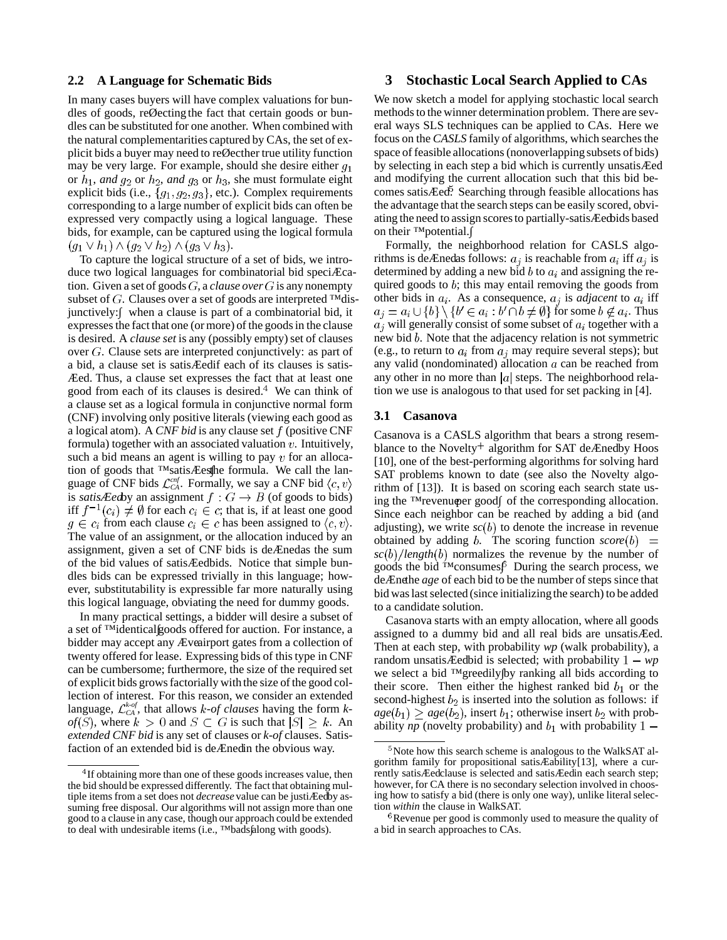#### **2.2 A Language for Schematic Bids**

In many cases buyers will have complex valuations for bundles of goods, reØecting the fact that certain goods or bundles can be substituted for one another. When combined with the natural complementarities captured by CAs, the set of explicit bids a buyer may need to reØecther true utility function may be very large. For example, should she desire either  $g_1$ or  $h_1$ , *and*  $g_2$  or  $h_2$ , *and*  $g_3$  or  $h_3$ , she must formulate eight explicit bids (i.e.,  ${g_1, g_2, g_3}$ , etc.). Complex requirements corresponding to a large number of explicit bids can often be expressed very compactly using a logical language. These bids, for example, can be captured using the logical formula  $(g_1 \vee h_1) \wedge (g_2 \vee h_2) \wedge (g_3 \vee h_3).$ 

To capture the logical structure of a set of bids, we introduce two logical languages for combinatorial bid speciÆcation. Given a set of goods  $G$ , a *clause* over  $G$  is any nonempty subset of  $G$ . Clauses over a set of goods are interpreted ™disjunctively: when a clause is part of a combinatorial bid, it expresses the fact that one (or more) of the goods in the clause is desired. A *clause set* is any (possibly empty) set of clauses over  $G$ . Clause sets are interpreted conjunctively: as part of a bid, a clause set is satisÆedif each of its clauses is satis-Æed. Thus, a clause set expresses the fact that at least one good from each of its clauses is desired. $4$  We can think of a clause set as a logical formula in conjunctive normal form (CNF) involving only positive literals (viewing each good as a logical atom). A *CNF bid* is any clause set f (positive CNF formula) together with an associated valuation  $v$ . Intuitively, such a bid means an agent is willing to pay  $v$  for an allocation of goods that ™satisÆesthe formula. We call the language of CNF bids  $\mathcal{L}_{CA}^{cnf}$ . Formally, we say a CNF bid is *satisÆed*by an assignment  $f: G \rightarrow B$  (of goods to bids) iff  $f^{-1}(c_i) \neq \emptyset$  for each  $c_i \in c$ ; that is, if at least one good  $g \in c_i$  from each clause  $c_i \in c$  has been assigned to  $\langle c, v \rangle$ . The value of an assignment, or the allocation induced by an assignment, given a set of CNF bids is deÆnedas the sum of the bid values of satisÆedbids. Notice that simple bundles bids can be expressed trivially in this language; however, substitutability is expressible far more naturally using this logical language, obviating the need for dummy goods.

In many practical settings, a bidder will desire a subset of a set of ™identical∫goods offered for auction. For instance, a bidder may accept any Æveairport gates from a collection of twenty offered for lease. Expressing bids of this type in CNF can be cumbersome; furthermore, the size of the required set of explicit bids grows factorially with the size of the good collection of interest. For this reason, we consider an extended language,  $\mathcal{L}_{CA}^{k \text{-} of}$ , that allows  $k$ -of *clauses* having the form  $k$ *of*(*S*), where  $k > 0$  and  $S \subset G$  is such that  $|S| \geq k$ . An *extended CNF bid* is any set of clauses or *k-of* clauses. Satisfaction of an extended bid is deÆnedin the obvious way.

## **3 Stochastic Local Search Applied to CAs**

We now sketch a model for applying stochastic local search methods to the winner determination problem. There are several ways SLS techniques can be applied to CAs. Here we focus on the *CASLS* family of algorithms, which searches the space of feasible allocations(nonoverlapping subsets of bids) by selecting in each step a bid which is currently unsatisÆed and modifying the current allocation such that this bid becomes satisÆed. Searching through feasible allocations has the advantage that the search steps can be easily scored, obviating the need to assign scoresto partially-satisÆedbids based on their <sup>™</sup>potential.

Formally, the neighborhood relation for CASLS algorithms is deÆnedas follows:  $a_i$  is reachable from  $a_i$  iff  $a_j$  is determined by adding a new bid b to  $a_i$  and assigning the required goods to  $b$ ; this may entail removing the goods from other bids in  $a_i$ . As a consequence,  $a_j$  is *adjacent* to  $a_i$  iff  $a_j = a_i \cup \{b\} \setminus \{b' \in a_i : b' \cap b \neq \emptyset\}$  for some  $b \notin a_i$ . Thus  $a_i$  will generally consist of some subset of  $a_i$  together with a new bid  $b$ . Note that the adjacency relation is not symmetric (e.g., to return to  $a_i$  from  $a_j$  may require several steps); but any valid (nondominated) allocation  $a$  can be reached from any other in no more than  $|a|$  steps. The neighborhood relation we use is analogous to that used for set packing in [4].

## **3.1 Casanova**

Casanova is a CASLS algorithm that bears a strong resemblance to the Novelty<sup>+</sup> algorithm for SAT de $\angle$ Enedby Hoos [10], one of the best-performing algorithms for solving hard SAT problems known to date (see also the Novelty algorithm of [13]). It is based on scoring each search state using the ™revenu⊕er good of the corresponding allocation. Since each neighbor can be reached by adding a bid (and adjusting), we write  $\mathfrak{so}(b)$  to denote the increase in revenue obtained by adding b. The scoring function  $score(b)$  =  $\frac{sc(b)}{length(b)}$  normalizes the revenue by the number of goods the bid ™consumes∫. During the search process, we deÆnethe *age* of each bid to be the number of steps since that bid was last selected (since initializing the search) to be added to a candidate solution.

Casanova starts with an empty allocation, where all goods assigned to a dummy bid and all real bids are unsatisÆed. Then at each step, with probability *wp* (walk probability), a random unsatisÆedbid is selected; with probability  $1 - wp$ we select a bid ™greedily by ranking all bids according to their score. Then either the highest ranked bid  $b_1$  or the second-highest  $b_2$  is inserted into the solution as follows: if  $age(b_1) > age(b_2)$ , insert  $b_1$ ; otherwise insert  $b_2$  with probability *np* (novelty probability) and  $b_1$  with probability  $1 -$ 

 $1<sup>4</sup>$ If obtaining more than one of these goods increases value, then the bid should be expressed differently. The fact that obtaining multiple items from a set does not *decrease* value can be justiÆedby assuming free disposal. Our algorithms will not assign more than one good to a clause in any case, though our approach could be extended to deal with undesirable items (i.e., ™bads along with goods).

<sup>&</sup>lt;sup>5</sup>Note how this search scheme is analogous to the WalkSAT algorithm family for propositional satisÆability[13], where a currently satisÆedclause is selected and satisÆedin each search step; however, for CA there is no secondary selection involved in choosing how to satisfy a bid (there is only one way), unlike literal selection *within* the clause in WalkSAT.

 ${}^{6}$ Revenue per good is commonly used to measure the quality of a bid in search approaches to CAs.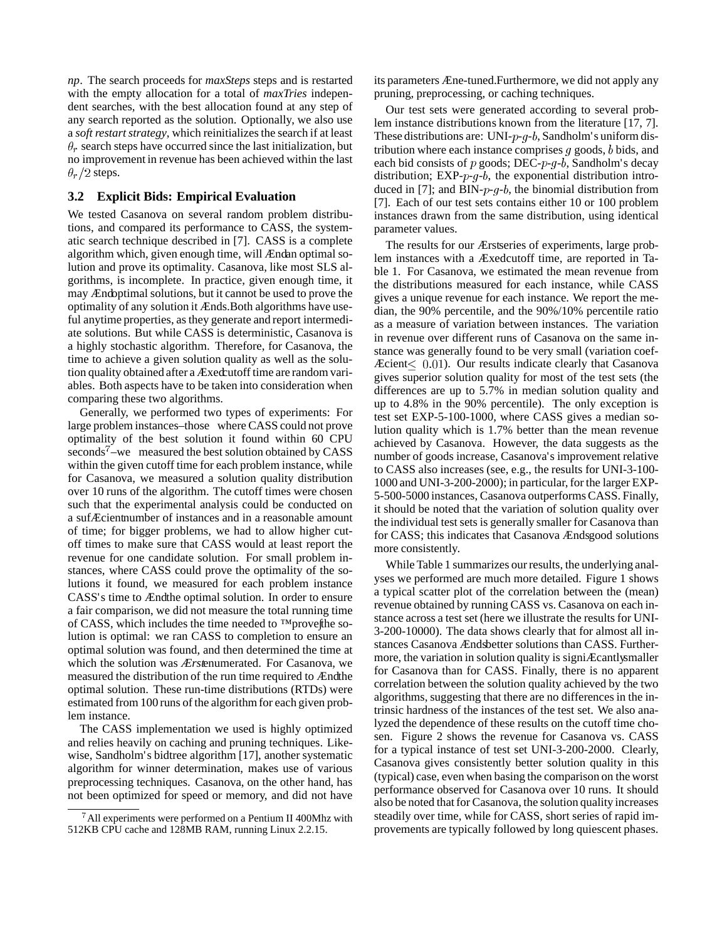*np*. The search proceeds for *maxSteps* steps and is restarted with the empty allocation for a total of *maxTries* independent searches, with the best allocation found at any step of any search reported as the solution. Optionally, we also use a *soft restart strategy*, which reinitializes the search if at least  $\theta_r$  search steps have occurred since the last initialization, but no improvement in revenue has been achieved within the last  $\theta_r/2$  steps.

# **3.2 Explicit Bids: Empirical Evaluation**

We tested Casanova on several random problem distributions, and compared its performance to CASS, the systematic search technique described in [7]. CASS is a complete algorithm which, given enough time, will Ændan optimal solution and prove its optimality. Casanova, like most SLS algorithms, is incomplete. In practice, given enough time, it may Ændoptimal solutions, but it cannot be used to prove the optimality of any solution it Ænds.Both algorithms have useful anytime properties, as they generate and report intermediate solutions. But while CASS is deterministic, Casanova is a highly stochastic algorithm. Therefore, for Casanova, the time to achieve a given solution quality as well as the solution quality obtained after a Æxedcutoff time are random variables. Both aspects have to be taken into consideration when comparing these two algorithms.

Generally, we performed two types of experiments: For large problem instances–those where CASS could not prove optimality of the best solution it found within 60 CPU seconds<sup> $7$ </sup>–we measured the best solution obtained by CASS within the given cutoff time for each problem instance, while for Casanova, we measured a solution quality distribution over 10 runs of the algorithm. The cutoff times were chosen such that the experimental analysis could be conducted on a sufÆcientnumber of instances and in a reasonable amount of time; for bigger problems, we had to allow higher cutoff times to make sure that CASS would at least report the revenue for one candidate solution. For small problem instances, where CASS could prove the optimality of the solutions it found, we measured for each problem instance CASS's time to Ændthe optimal solution. In order to ensure a fair comparison, we did not measure the total running time of CASS, which includes the time needed to ™prove the solution is optimal: we ran CASS to completion to ensure an optimal solution was found, and then determined the time at which the solution was *Ærst*enumerated. For Casanova, we measured the distribution of the run time required to Ændthe optimal solution. These run-time distributions (RTDs) were estimated from 100 runs of the algorithm for each given problem instance.

The CASS implementation we used is highly optimized and relies heavily on caching and pruning techniques. Likewise, Sandholm's bidtree algorithm [17], another systematic algorithm for winner determination, makes use of various preprocessing techniques. Casanova, on the other hand, has not been optimized for speed or memory, and did not have its parameters Æne-tuned.Furthermore, we did not apply any pruning, preprocessing, or caching techniques.

Our test sets were generated according to several problem instance distributions known from the literature [17, 7]. These distributions are: UNI- $p-g-b$ , Sandholm's uniform distribution where each instance comprises  $q$  goods,  $b$  bids, and each bid consists of  $p$  goods; DEC- $p-g-b$ , Sandholm's decay distribution;  $EXP-p-q-b$ , the exponential distribution introduced in [7]; and BIN- $p-g-b$ , the binomial distribution from [7]. Each of our test sets contains either 10 or 100 problem instances drawn from the same distribution, using identical parameter values.

The results for our Ærstseries of experiments, large problem instances with a Æxedcutoff time, are reported in Table 1. For Casanova, we estimated the mean revenue from the distributions measured for each instance, while CASS gives a unique revenue for each instance. We report the median, the 90% percentile, and the 90%/10% percentile ratio as a measure of variation between instances. The variation in revenue over different runs of Casanova on the same instance was generally found to be very small (variation coef-Æcient $<$  0.01). Our results indicate clearly that Casanova gives superior solution quality for most of the test sets (the differences are up to 5.7% in median solution quality and up to 4.8% in the 90% percentile). The only exception is test set EXP-5-100-1000, where CASS gives a median solution quality which is 1.7% better than the mean revenue achieved by Casanova. However, the data suggests as the number of goods increase, Casanova's improvement relative to CASS also increases (see, e.g., the results for UNI-3-100- 1000 and UNI-3-200-2000); in particular, for the larger EXP-5-500-5000 instances, Casanova outperformsCASS. Finally, it should be noted that the variation of solution quality over the individual test sets is generally smaller for Casanova than for CASS; this indicates that Casanova Ændsgood solutions more consistently.

While Table 1 summarizes our results, the underlying analyses we performed are much more detailed. Figure 1 shows a typical scatter plot of the correlation between the (mean) revenue obtained by running CASS vs. Casanova on each instance across a test set (here we illustrate the results for UNI-3-200-10000). The data shows clearly that for almost all instances Casanova Ændsbetter solutions than CASS. Furthermore, the variation in solution quality is signiÆcantlysmaller for Casanova than for CASS. Finally, there is no apparent correlation between the solution quality achieved by the two algorithms, suggesting that there are no differences in the intrinsic hardness of the instances of the test set. We also analyzed the dependence of these results on the cutoff time chosen. Figure 2 shows the revenue for Casanova vs. CASS for a typical instance of test set UNI-3-200-2000. Clearly, Casanova gives consistently better solution quality in this (typical) case, even when basing the comparison on the worst performance observed for Casanova over 10 runs. It should also be noted that for Casanova, the solution quality increases steadily over time, while for CASS, short series of rapid improvements are typically followed by long quiescent phases.

 $^7$ All experiments were performed on a Pentium II 400Mhz with 512KB CPU cache and 128MB RAM, running Linux 2.2.15.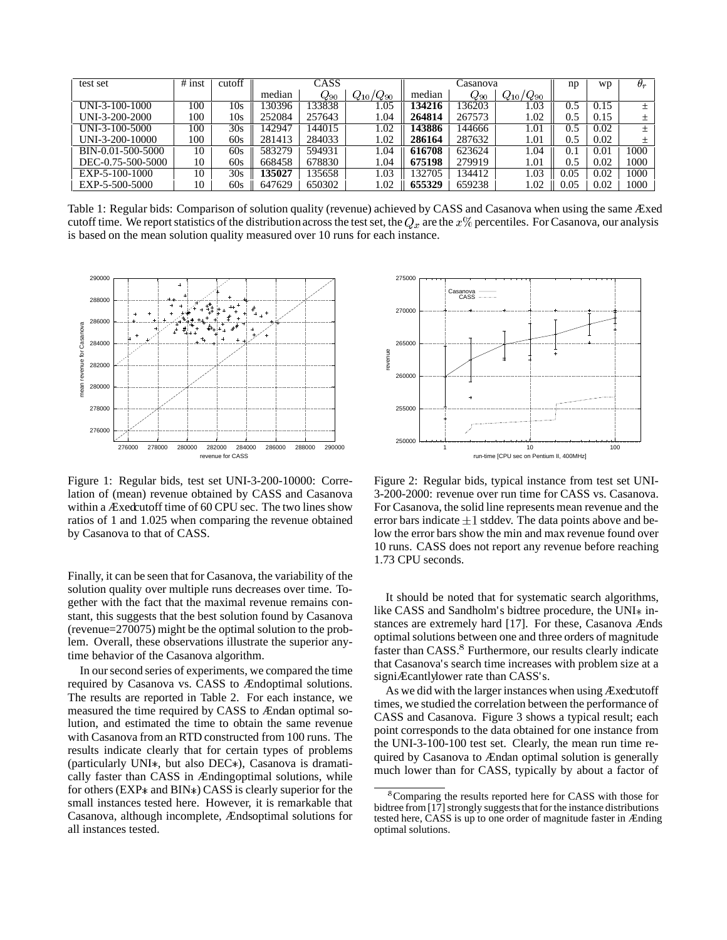| test set          | $#$ inst | cutoff | CASS   |                 |                 |        | np              | wp              | $\theta_r$ |      |      |
|-------------------|----------|--------|--------|-----------------|-----------------|--------|-----------------|-----------------|------------|------|------|
|                   |          |        | median | $Q_\mathrm{90}$ | $Q_{10}/Q_{90}$ | median | $Q_\mathrm{90}$ | $Q_{10}/Q_{90}$ |            |      |      |
| UNI-3-100-1000    | 100      | 10s    | 130396 | 33838           | l.05            | 134216 | 36203           | .03             | U.S        | 0.15 | 士    |
| UNI-3-200-2000    | 100      | 10s    | 252084 | 257643          | 1.04            | 264814 | 267573          | .02             | 0.5        | 0.15 | 士    |
| UNI-3-100-5000    | 100      | 30s    | 142947 | 144015          | 1.02            | 143886 | 144666          | 1.01            | 0.5        | 0.02 | 士    |
| UNI-3-200-10000   | 100      | 60s    | 281413 | 284033          | 1.02            | 286164 | 287632          | 1.01            | 0.5        | 0.02 |      |
| BIN-0.01-500-5000 | 10       | 60s    | 583279 | 594931          | 1.04            | 616708 | 623624          | .04             | 0.1        | 0.01 | 1000 |
| DEC-0.75-500-5000 | 10       | 60s    | 668458 | 678830          | 1.04            | 675198 | 279919          | 1.01            | 0.5        | 0.02 | 1000 |
| $EXP-5-100-1000$  | 10       | 30s    | 35027  | 35658           | 1.03            | 132705 | 134412          | .03             | 0.05       | 0.02 | 1000 |
| EXP-5-500-5000    | 10       | 60s    | 647629 | 650302          | 1.02            | 655329 | 659238          | .02             | 0.05       | 0.02 | 1000 |

Table 1: Regular bids: Comparison of solution quality (revenue) achieved by CASS and Casanova when using the same Æxed cutoff time. We report statistics of the distribution across the test set, the  $Q_x$  are the  $x\%$  percentiles. For Casanova, our analysis is based on the mean solution quality measured over 10 runs for each instance.



Figure 1: Regular bids, test set UNI-3-200-10000: Correlation of (mean) revenue obtained by CASS and Casanova within a Æxedcutoff time of 60 CPU sec. The two lines show ratios of 1 and 1.025 when comparing the revenue obtained by Casanova to that of CASS.

Finally, it can be seen that for Casanova, the variability of the solution quality over multiple runs decreases over time. Together with the fact that the maximal revenue remains constant, this suggests that the best solution found by Casanova (revenue=270075) might be the optimal solution to the problem. Overall, these observations illustrate the superior anytime behavior of the Casanova algorithm.

In our second series of experiments, we compared the time required by Casanova vs. CASS to Ændoptimal solutions. The results are reported in Table 2. For each instance, we measured the time required by CASS to Ændan optimal solution, and estimated the time to obtain the same revenue with Casanova from an RTD constructed from 100 runs. The results indicate clearly that for certain types of problems (particularly UNI $*$ , but also DEC $*$ ), Casanova is dramatically faster than CASS in Ændingoptimal solutions, while for others ( $EXP*$  and  $BIN*$ ) CASS is clearly superior for the small instances tested here. However, it is remarkable that Casanova, although incomplete, Ændsoptimal solutions for all instances tested.



Figure 2: Regular bids, typical instance from test set UNI-3-200-2000: revenue over run time for CASS vs. Casanova. For Casanova, the solid line represents mean revenue and the error bars indicate  $\pm 1$  stddev. The data points above and below the error bars show the min and max revenue found over 10 runs. CASS does not report any revenue before reaching 1.73 CPU seconds.

It should be noted that for systematic search algorithms, like CASS and Sandholm's bidtree procedure, the  $UNI*$  instances are extremely hard [17]. For these, Casanova Ænds optimal solutions between one and three orders of magnitude faster than CASS.<sup>8</sup> Furthermore, our results clearly indicate that Casanova's search time increases with problem size at a signiÆcantlylower rate than CASS's.

As we did with the larger instances when using Æxedcutoff times, we studied the correlation between the performance of CASS and Casanova. Figure 3 shows a typical result; each point corresponds to the data obtained for one instance from the UNI-3-100-100 test set. Clearly, the mean run time required by Casanova to Ændan optimal solution is generally much lower than for CASS, typically by about a factor of

<sup>&</sup>lt;sup>8</sup>Comparing the results reported here for CASS with those for bidtree from  $[17]$  strongly suggests that for the instance distributions tested here, CASS is up to one order of magnitude faster in Ænding optimal solutions.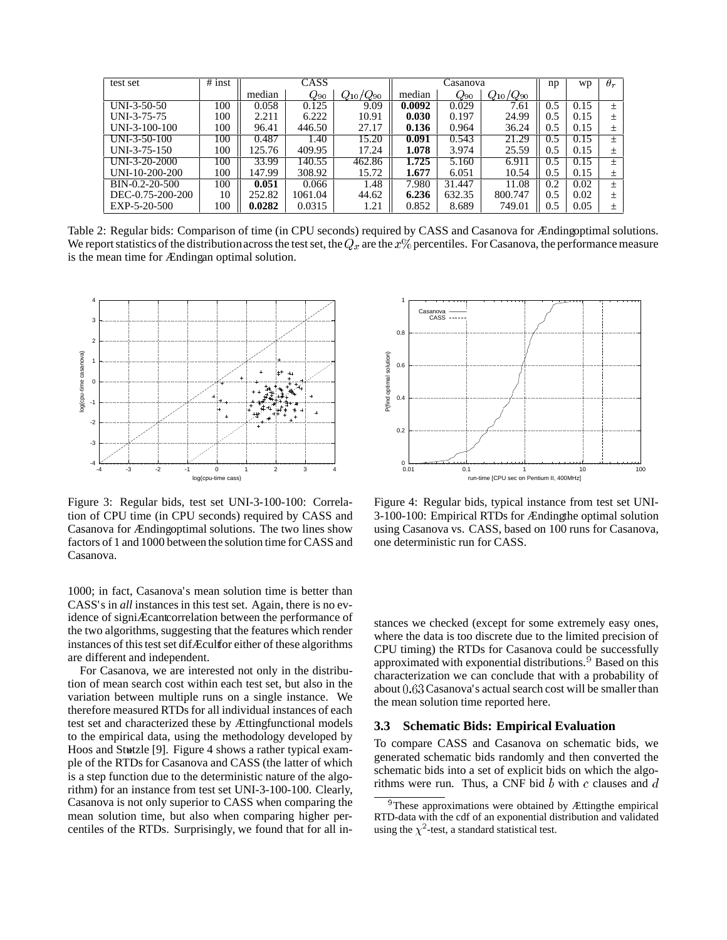| test set         | $#$ inst | CASS   |          |                 |        | np              | wp                            | $\theta_r$ |      |        |
|------------------|----------|--------|----------|-----------------|--------|-----------------|-------------------------------|------------|------|--------|
|                  |          | median | $Q_{90}$ | $Q_{10}/Q_{90}$ | median | $Q_\mathrm{90}$ | $\sqrt{Q_{90}}$<br>$Q_{10}$ / |            |      |        |
| $UNI-3-50-50$    | 100      | 0.058  | 0.125    | 9.09            | 0.0092 | 0.029           | 7.61                          | 0.5        | 0.15 | $+$    |
| UNI-3-75-75      | 100      | 2.211  | 6.222    | 10.91           | 0.030  | 0.197           | 24.99                         | 0.5        | 0.15 | $^{+}$ |
| UNI-3-100-100    | 100      | 96.41  | 446.50   | 27.17           | 0.136  | 0.964           | 36.24                         | 0.5        | 0.15 | 土      |
| $UNI-3-50-100$   | 100      | 0.487  | 1.40     | 15.20           | 0.091  | 0.543           | 21.29                         | 0.5        | 0.15 | $+$    |
| $UNI-3-75-150$   | 100      | 125.76 | 409.95   | 17.24           | 1.078  | 3.974           | 25.59                         | 0.5        | 0.15 | 士      |
| UNI-3-20-2000    | 100      | 33.99  | 140.55   | 462.86          | 1.725  | 5.160           | 6.911                         | U.S        |      | $^{+}$ |
| UNI-10-200-200   | 100      | 147.99 | 308.92   | 15.72           | 1.677  | 6.051           | 10.54                         | 0.5        | 0.15 | 士      |
| BIN-0.2-20-500   | 100      | 0.051  | 0.066    | 1.48            | 7.980  | 31.447          | 11.08                         | 0.2        | 0.02 | $+$    |
| DEC-0.75-200-200 | 10       | 252.82 | 1061.04  | 44.62           | 6.236  | 632.35          | 800.747                       | 0.5        | 0.02 | $^{+}$ |
| EXP-5-20-500     | 100      | 0.0282 | 0.0315   | 1.21            | 0.852  | 8.689           | 749.01                        | 0.5        | 0.05 | $^+$   |

Table 2: Regular bids: Comparison of time (in CPU seconds) required by CASS and Casanova for Ændingoptimal solutions. We report statistics of the distribution across the test set, the  $Q_x$  are the  $x\%$  percentiles. For Casanova, the performance measure is the mean time for Ændingan optimal solution.



Figure 3: Regular bids, test set UNI-3-100-100: Correlation of CPU time (in CPU seconds) required by CASS and Casanova for Ændingoptimal solutions. The two lines show factors of 1 and 1000 between the solution time for CASS and Casanova.

1000; in fact, Casanova's mean solution time is better than CASS's in *all* instances in this test set. Again, there is no evidence of signiÆcantcorrelation between the performance of the two algorithms, suggesting that the features which render instances of this test set difÆcultfor either of these algorithms are different and independent.

For Casanova, we are interested not only in the distribution of mean search cost within each test set, but also in the variation between multiple runs on a single instance. We therefore measured RTDs for all individual instances of each test set and characterized these by Ættingfunctional models to the empirical data, using the methodology developed by Hoos and Stutzle [9]. Figure 4 shows a rather typical example of the RTDs for Casanova and CASS (the latter of which is a step function due to the deterministic nature of the algorithm) for an instance from test set UNI-3-100-100. Clearly, Casanova is not only superior to CASS when comparing the mean solution time, but also when comparing higher percentiles of the RTDs. Surprisingly, we found that for all in-



Figure 4: Regular bids, typical instance from test set UNI-3-100-100: Empirical RTDs for Ændingthe optimal solution using Casanova vs. CASS, based on 100 runs for Casanova, one deterministic run for CASS.

stances we checked (except for some extremely easy ones, where the data is too discrete due to the limited precision of CPU timing) the RTDs for Casanova could be successfully approximated with exponential distributions.<sup>9</sup> Based on this characterization we can conclude that with a probability of about  $0.63$  Casanova's actual search cost will be smaller than the mean solution time reported here.

#### **3.3 Schematic Bids: Empirical Evaluation**

To compare CASS and Casanova on schematic bids, we generated schematic bids randomly and then converted the schematic bids into a set of explicit bids on which the algorithms were run. Thus, a CNF bid  $b$  with  $c$  clauses and  $d$ 

<sup>&</sup>lt;sup>9</sup>These approximations were obtained by Ættingthe empirical RTD-data with the cdf of an exponential distribution and validated using the  $\chi^2$ -test, a standard statistical test.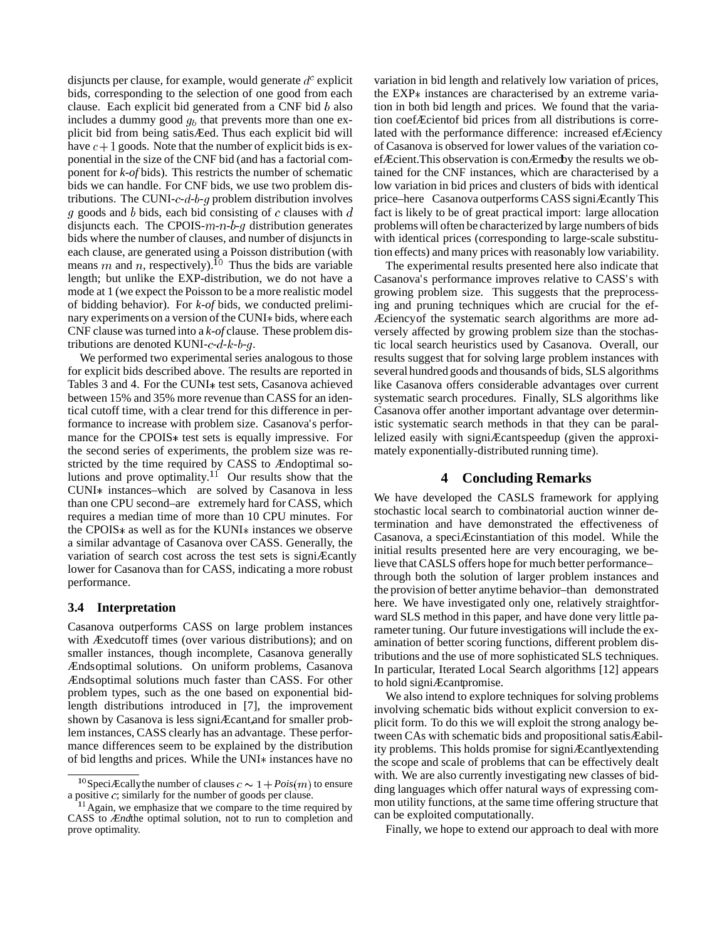disjuncts per clause, for example, would generate  $d^c$  explicit bids, corresponding to the selection of one good from each clause. Each explicit bid generated from a CNF bid  $b$  also includes a dummy good  $q_b$  that prevents more than one explicit bid from being satisÆed. Thus each explicit bid will have  $c+1$  goods. Note that the number of explicit bids is exponential in the size of the CNF bid (and has a factorial component for *k-of* bids). This restricts the number of schematic bids we can handle. For CNF bids, we use two problem distributions. The CUNI- $c$ - $d$ - $b$ - $g$  problem distribution involves q goods and b bids, each bid consisting of c clauses with  $d$ disjuncts each. The CPOIS- $m - n - b - q$  distribution generates bids where the number of clauses, and number of disjuncts in each clause, are generated using a Poisson distribution (with means m and n, respectively). <sup>10</sup> Thus the bids are variable length; but unlike the EXP-distribution, we do not have a mode at 1 (we expect the Poisson to be a more realistic model of bidding behavior). For *k-of* bids, we conducted preliminary experiments on a version of the CUNI\* bids, where each CNF clause was turned into a *k-of* clause. These problem distributions are denoted KUNI- $c$ - $d$ - $k$ - $b$ - $g$ .

We performed two experimental series analogous to those for explicit bids described above. The results are reported in Tables 3 and 4. For the CUNI\* test sets, Casanova achieved between 15% and 35% more revenue than CASS for an identical cutoff time, with a clear trend for this difference in performance to increase with problem size. Casanova's performance for the CPOIS\* test sets is equally impressive. For the second series of experiments, the problem size was restricted by the time required by CASS to Ændoptimal solutions and prove optimality.<sup>11</sup> Our results show that the CUNI\* instances–which are solved by Casanova in less than one CPU second–are extremely hard for CASS, which requires a median time of more than 10 CPU minutes. For the CPOIS $*$  as well as for the KUNI $*$  instances we observe a similar advantage of Casanova over CASS. Generally, the variation of search cost across the test sets is signiÆcantly lower for Casanova than for CASS, indicating a more robust performance.

# **3.4 Interpretation**

Casanova outperforms CASS on large problem instances with Æxedcutoff times (over various distributions); and on smaller instances, though incomplete, Casanova generally Ændsoptimal solutions. On uniform problems, Casanova Ændsoptimal solutions much faster than CASS. For other problem types, such as the one based on exponential bidlength distributions introduced in [7], the improvement shown by Casanova is less signiÆcant,and for smaller problem instances, CASS clearly has an advantage. These performance differences seem to be explained by the distribution of bid lengths and prices. While the UNI $*$  instances have no variation in bid length and relatively low variation of prices, the  $EXP*$  instances are characterised by an extreme variation in both bid length and prices. We found that the variation coefÆcientof bid prices from all distributions is correlated with the performance difference: increased efÆciency of Casanova is observed for lower values of the variation coefÆcient.This observation is conÆrmedby the results we obtained for the CNF instances, which are characterised by a low variation in bid prices and clusters of bids with identical price–here Casanova outperforms CASS signiÆcantly. This fact is likely to be of great practical import: large allocation problemswill often be characterized by large numbers of bids with identical prices (corresponding to large-scale substitution effects) and many prices with reasonably low variability.

The experimental results presented here also indicate that Casanova's performance improves relative to CASS's with growing problem size. This suggests that the preprocessing and pruning techniques which are crucial for the ef-Æciencyof the systematic search algorithms are more adversely affected by growing problem size than the stochastic local search heuristics used by Casanova. Overall, our results suggest that for solving large problem instances with several hundred goods and thousands of bids, SLS algorithms like Casanova offers considerable advantages over current systematic search procedures. Finally, SLS algorithms like Casanova offer another important advantage over deterministic systematic search methods in that they can be parallelized easily with signiÆcantspeedup (given the approximately exponentially-distributed running time).

# **4 Concluding Remarks**

We have developed the CASLS framework for applying stochastic local search to combinatorial auction winner determination and have demonstrated the effectiveness of Casanova, a speciÆcinstantiation of this model. While the initial results presented here are very encouraging, we believe that CASLS offers hope for much better performance– through both the solution of larger problem instances and the provision of better anytime behavior–than demonstrated here. We have investigated only one, relatively straightforward SLS method in this paper, and have done very little parameter tuning. Our future investigations will include the examination of better scoring functions, different problem distributions and the use of more sophisticated SLS techniques. In particular, Iterated Local Search algorithms [12] appears to hold signiÆcantpromise.

We also intend to explore techniques for solving problems involving schematic bids without explicit conversion to explicit form. To do this we will exploit the strong analogy between CAs with schematic bids and propositional satisÆability problems. This holds promise for signiÆcantlyextending the scope and scale of problems that can be effectively dealt with. We are also currently investigating new classes of bidding languages which offer natural ways of expressing common utility functions, at the same time offering structure that can be exploited computationally.

Finally, we hope to extend our approach to deal with more

<sup>&</sup>lt;sup>10</sup> SpeciÆcally the number of clauses  $c \sim 1 + Pois(m)$  to ensure a positive  $c$ ; similarly for the number of goods per clause.

<sup>&</sup>lt;sup>11</sup> Again, we emphasize that we compare to the time required by CASS to *Ænd*the optimal solution, not to run to completion and prove optimality.